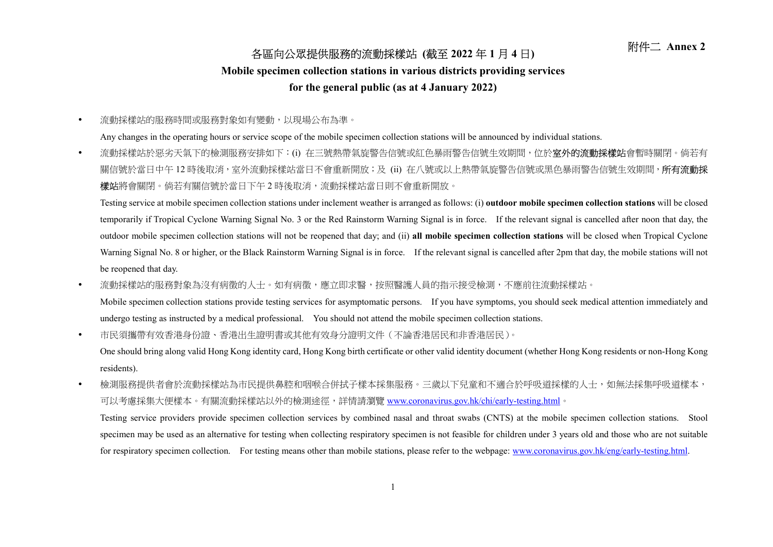## 各區向公眾提供服務的流動採樣站 (截至 2022 年 1 月 4 日) 附件二 Annex 2

## Mobile specimen collection stations in various districts providing services

## for the general public (as at 4 January 2022)

流動採樣站的服務時間或服務對象如有變動,以現場公布為準。

Any changes in the operating hours or service scope of the mobile specimen collection stations will be announced by individual stations.

• 流動採樣站於惡劣天氣下的檢測服務安排如下:(i) 在三號熱帶氣旋警告信號或紅色暴雨警告信號生效期間,位於**室外的流動採樣站**會暫時關閉。倘若有 關信號於當日中午 12 時後取消,室外流動採樣站當日不會重新開放;及 (ii) 在八號或以上熱帶氣旋警告信號或黑色暴雨警告信號生效期間,**所有流動採** 樣站將會關閉。倘若有關信號於當日下午2時後取消,流動採樣站當日則不會重新開放。

Testing service at mobile specimen collection stations under inclement weather is arranged as follows: (i) outdoor mobile specimen collection stations will be closed temporarily if Tropical Cyclone Warning Signal No. 3 or the Red Rainstorm Warning Signal is in force. If the relevant signal is cancelled after noon that day, the outdoor mobile specimen collection stations will not be reopened that day; and (ii) all mobile specimen collection stations will be closed when Tropical Cyclone Warning Signal No. 8 or higher, or the Black Rainstorm Warning Signal is in force. If the relevant signal is cancelled after 2pm that day, the mobile stations will not be reopened that day.

• 流動採樣站的服務對象為沒有病徵的人士。如有病徵,應立即求醫,按照醫護人員的指示接受檢測,不應前往流動採樣站。

Mobile specimen collection stations provide testing services for asymptomatic persons. If you have symptoms, you should seek medical attention immediately and undergo testing as instructed by a medical professional. You should not attend the mobile specimen collection stations.

市民須攜帶有效香港身份證、香港出生證明書或其他有效身分證明文件(不論香港居民和非香港居民)。

One should bring along valid Hong Kong identity card, Hong Kong birth certificate or other valid identity document (whether Hong Kong residents or non-Hong Kong residents).

• 檢測服務提供者會於流動採樣站為市民提供鼻腔和咽喉合併拭子樣本採集服務。三歲以下兒童和不適合於呼吸道採樣的人士,如無法採集呼吸道樣本, 可以考慮採集大便樣本。有關流動採樣站以外的檢測途徑,詳情請瀏覽 www.coronavirus.gov.hk/chi/early-testing.html。

Testing service providers provide specimen collection services by combined nasal and throat swabs (CNTS) at the mobile specimen collection stations. Stool specimen may be used as an alternative for testing when collecting respiratory specimen is not feasible for children under 3 years old and those who are not suitable for respiratory specimen collection. For testing means other than mobile stations, please refer to the webpage: www.coronavirus.gov.hk/eng/early-testing.html.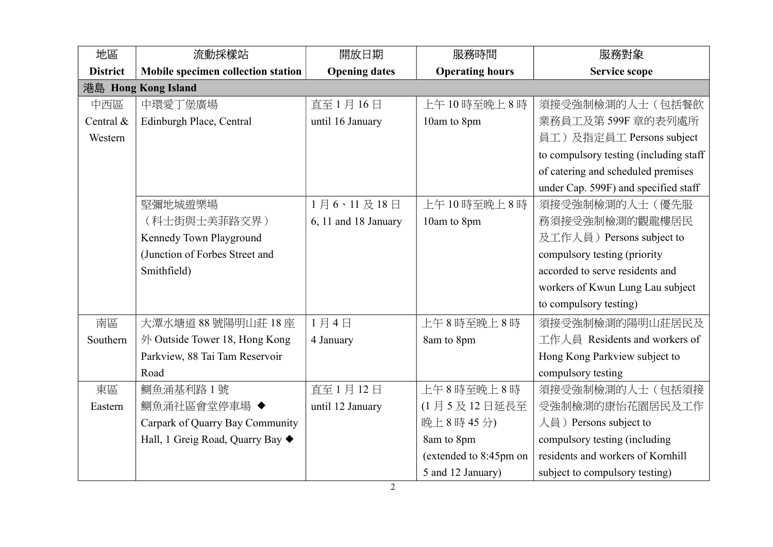| 地區              | 流動採樣站                              | 開放日期                 | 服務時間                   | 服務對象                                   |
|-----------------|------------------------------------|----------------------|------------------------|----------------------------------------|
| <b>District</b> | Mobile specimen collection station | <b>Opening dates</b> | <b>Operating hours</b> | <b>Service scope</b>                   |
|                 | 港島 Hong Kong Island                |                      |                        |                                        |
| 中西區             | 中環愛丁堡廣場                            | 直至1月16日              | 上午10時至晚上8時             | 須接受強制檢測的人士(包括餐飲                        |
| Central &       | Edinburgh Place, Central           | until 16 January     | 10am to 8pm            | 業務員工及第599F 章的表列處所                      |
| Western         |                                    |                      |                        | 員工)及指定員工 Persons subject               |
|                 |                                    |                      |                        | to compulsory testing (including staff |
|                 |                                    |                      |                        | of catering and scheduled premises     |
|                 |                                    |                      |                        | under Cap. 599F) and specified staff   |
|                 | 堅彌地城遊樂場                            | 1月6、11及18日           | 上午10時至晚上8時             | 須接受強制檢測的人士(優先服                         |
|                 | (科士街與士美菲路交界)                       | 6, 11 and 18 January | 10am to 8pm            | 務須接受強制檢測的觀龍樓居民                         |
|                 | Kennedy Town Playground            |                      |                        | 及工作人員) Persons subject to              |
|                 | (Junction of Forbes Street and     |                      |                        | compulsory testing (priority           |
|                 | Smithfield)                        |                      |                        | accorded to serve residents and        |
|                 |                                    |                      |                        | workers of Kwun Lung Lau subject       |
|                 |                                    |                      |                        | to compulsory testing)                 |
| 南區              | 大潭水塘道 88號陽明山莊 18座                  | 1月4日                 | 上午8時至晚上8時              | 須接受強制檢測的陽明山莊居民及                        |
| Southern        | 外 Outside Tower 18, Hong Kong      | 4 January            | 8am to 8pm             | 工作人員 Residents and workers of          |
|                 | Parkview, 88 Tai Tam Reservoir     |                      |                        | Hong Kong Parkview subject to          |
|                 | Road                               |                      |                        | compulsory testing                     |
| 東區              | 鰂魚涌基利路1號                           | 直至1月12日              | 上午8時至晚上8時              | 須接受強制檢測的人士(包括須接                        |
| Eastern         | 鰂魚涌社區會堂停車場 ◆                       | until 12 January     | (1月5及12日延長至            | 受強制檢測的康怡花園居民及工作                        |
|                 | Carpark of Quarry Bay Community    |                      | 晚上 8時 45分)             | 人員) Persons subject to                 |
|                 | Hall, 1 Greig Road, Quarry Bay ◆   |                      | 8am to 8pm             | compulsory testing (including          |
|                 |                                    |                      | (extended to 8:45pm on | residents and workers of Kornhill      |
|                 |                                    |                      | 5 and 12 January)      | subject to compulsory testing)         |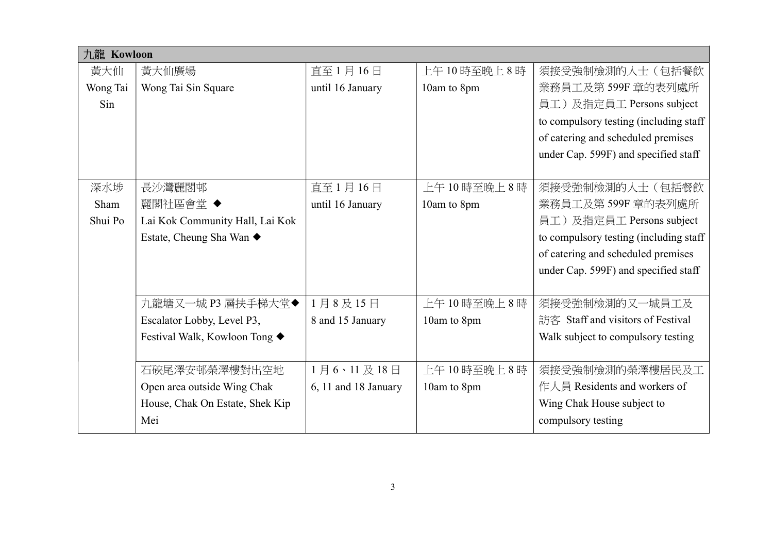| 九龍 Kowloon |                                 |                      |             |                                        |  |  |
|------------|---------------------------------|----------------------|-------------|----------------------------------------|--|--|
| 黃大仙        | 黃大仙廣場                           | 直至1月16日              | 上午10時至晚上8時  | 須接受強制檢測的人士(包括餐飲                        |  |  |
| Wong Tai   | Wong Tai Sin Square             | until 16 January     | 10am to 8pm | 業務員工及第599F 章的表列處所                      |  |  |
| Sin        |                                 |                      |             | 員工)及指定員工 Persons subject               |  |  |
|            |                                 |                      |             | to compulsory testing (including staff |  |  |
|            |                                 |                      |             | of catering and scheduled premises     |  |  |
|            |                                 |                      |             | under Cap. 599F) and specified staff   |  |  |
|            |                                 |                      |             |                                        |  |  |
| 深水埗        | 長沙灣麗閣邨                          | 直至1月16日              | 上午10時至晚上8時  | 須接受強制檢測的人士(包括餐飲                        |  |  |
| Sham       | 麗閣社區會堂 ◆                        | until 16 January     | 10am to 8pm | 業務員工及第599F 章的表列處所                      |  |  |
| Shui Po    | Lai Kok Community Hall, Lai Kok |                      |             | 員工)及指定員工 Persons subject               |  |  |
|            | Estate, Cheung Sha Wan ◆        |                      |             | to compulsory testing (including staff |  |  |
|            |                                 |                      |             | of catering and scheduled premises     |  |  |
|            |                                 |                      |             | under Cap. 599F) and specified staff   |  |  |
|            |                                 |                      |             |                                        |  |  |
|            | 九龍塘又一城 P3 層扶手梯大堂◆               | 1月8及15日              | 上午10時至晚上8時  | 須接受強制檢測的又一城員工及                         |  |  |
|            | Escalator Lobby, Level P3,      | 8 and 15 January     | 10am to 8pm | 訪客 Staff and visitors of Festival      |  |  |
|            | Festival Walk, Kowloon Tong ◆   |                      |             | Walk subject to compulsory testing     |  |  |
|            |                                 |                      |             |                                        |  |  |
|            | 石硤尾澤安邨榮澤樓對出空地                   | 1月6、11及18日           | 上午10時至晚上8時  | 須接受強制檢測的榮澤樓居民及工                        |  |  |
|            | Open area outside Wing Chak     | 6, 11 and 18 January | 10am to 8pm | 作人員 Residents and workers of           |  |  |
|            | House, Chak On Estate, Shek Kip |                      |             | Wing Chak House subject to             |  |  |
|            | Mei                             |                      |             | compulsory testing                     |  |  |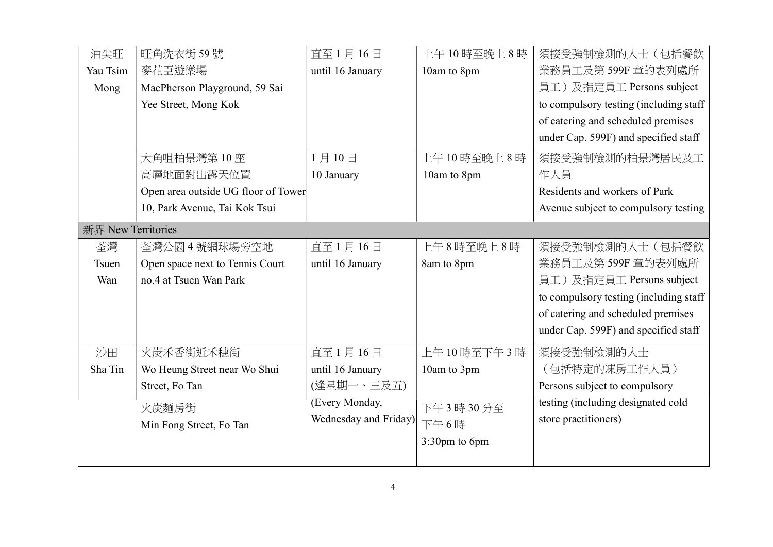| 油尖旺                | 旺角洗衣街 59號                           | 直至1月16日               | 上午10時至晚上8時    | 須接受強制檢測的人士(包括餐飲                        |
|--------------------|-------------------------------------|-----------------------|---------------|----------------------------------------|
| Yau Tsim           | 麥花臣遊樂場                              | until 16 January      | 10am to 8pm   | 業務員工及第599F 章的表列處所                      |
| Mong               | MacPherson Playground, 59 Sai       |                       |               | 員工)及指定員工 Persons subject               |
|                    | Yee Street, Mong Kok                |                       |               | to compulsory testing (including staff |
|                    |                                     |                       |               | of catering and scheduled premises     |
|                    |                                     |                       |               | under Cap. 599F) and specified staff   |
|                    | 大角咀柏景灣第10座                          | 1月10日                 | 上午10時至晚上8時    | 須接受強制檢測的柏景灣居民及工                        |
|                    | 高層地面對出露天位置                          | 10 January            | 10am to 8pm   | 作人員                                    |
|                    | Open area outside UG floor of Tower |                       |               | Residents and workers of Park          |
|                    | 10, Park Avenue, Tai Kok Tsui       |                       |               | Avenue subject to compulsory testing   |
| 新界 New Territories |                                     |                       |               |                                        |
| 荃灣                 | 荃灣公園4號網球場旁空地                        | 直至1月16日               | 上午8時至晚上8時     | 須接受強制檢測的人士(包括餐飲                        |
| <b>Tsuen</b>       | Open space next to Tennis Court     | until 16 January      | 8am to 8pm    | 業務員工及第599F 章的表列處所                      |
| Wan                | no.4 at Tsuen Wan Park              |                       |               | 員工)及指定員工 Persons subject               |
|                    |                                     |                       |               | to compulsory testing (including staff |
|                    |                                     |                       |               | of catering and scheduled premises     |
|                    |                                     |                       |               | under Cap. 599F) and specified staff   |
| 沙田                 | 火炭禾香街近禾穗街                           | 直至1月16日               | 上午10時至下午3時    | 須接受強制檢測的人士                             |
| Sha Tin            | Wo Heung Street near Wo Shui        | until 16 January      | 10am to 3pm   | (包括特定的凍房工作人員)                          |
|                    | Street, Fo Tan                      | (逢星期一、三及五)            |               | Persons subject to compulsory          |
|                    | 火炭麵房街                               | (Every Monday,        | 下午3時30分至      | testing (including designated cold     |
|                    | Min Fong Street, Fo Tan             | Wednesday and Friday) | 下午6時          | store practitioners)                   |
|                    |                                     |                       | 3:30pm to 6pm |                                        |
|                    |                                     |                       |               |                                        |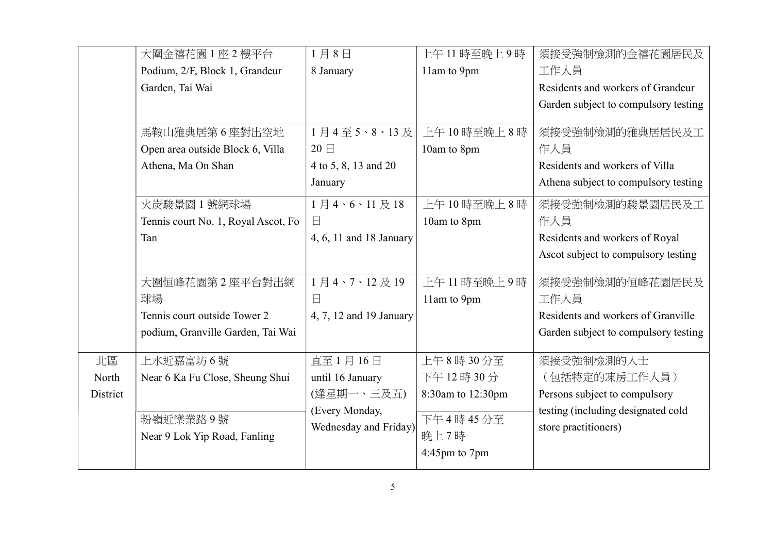|          | 大圍金禧花園1座2樓平台                        | 1月8日                    | 上午11時至晚上9時        | 須接受強制檢測的金禧花園居民及                      |
|----------|-------------------------------------|-------------------------|-------------------|--------------------------------------|
|          | Podium, 2/F, Block 1, Grandeur      | 8 January               | 11am to 9pm       | 工作人員                                 |
|          | Garden, Tai Wai                     |                         |                   | Residents and workers of Grandeur    |
|          |                                     |                         |                   | Garden subject to compulsory testing |
|          |                                     |                         |                   |                                      |
|          | 馬鞍山雅典居第6座對出空地                       | 1月4至5、8、13及             | 上午10時至晚上8時        | 須接受強制檢測的雅典居居民及工                      |
|          | Open area outside Block 6, Villa    | $20 \Box$               | 10am to 8pm       | 作人員                                  |
|          | Athena, Ma On Shan                  | 4 to 5, 8, 13 and 20    |                   | Residents and workers of Villa       |
|          |                                     | January                 |                   | Athena subject to compulsory testing |
|          | 火炭駿景園1號網球場                          | 1月4、6、11及18             | 上午10時至晚上8時        | 須接受強制檢測的駿景園居民及工                      |
|          | Tennis court No. 1, Royal Ascot, Fo | $\Box$                  | 10am to 8pm       | 作人員                                  |
|          | Tan                                 | 4, 6, 11 and 18 January |                   | Residents and workers of Royal       |
|          |                                     |                         |                   | Ascot subject to compulsory testing  |
|          |                                     |                         |                   |                                      |
|          | 大圍恒峰花園第2座平台對出網                      | 1月4、7、12及19             | 上午11時至晚上9時        | 須接受強制檢測的恒峰花園居民及                      |
|          | 球場                                  | $\Box$                  | 11am to 9pm       | 工作人員                                 |
|          | Tennis court outside Tower 2        | 4, 7, 12 and 19 January |                   | Residents and workers of Granville   |
|          | podium, Granville Garden, Tai Wai   |                         |                   | Garden subject to compulsory testing |
| 北區       | 上水近嘉富坊6號                            | 直至1月16日                 | 上午8時30分至          |                                      |
|          |                                     |                         |                   | 須接受強制檢測的人士                           |
| North    | Near 6 Ka Fu Close, Sheung Shui     | until 16 January        | 下午12時30分          | (包括特定的凍房工作人員)                        |
| District |                                     | (逢星期一、三及五)              | 8:30am to 12:30pm | Persons subject to compulsory        |
|          | 粉嶺近樂業路9號                            | (Every Monday,          | 下午4時45分至          | testing (including designated cold   |
|          | Near 9 Lok Yip Road, Fanling        | Wednesday and Friday)   | 晚上7時              | store practitioners)                 |
|          |                                     |                         |                   |                                      |
|          |                                     |                         | 4:45pm to 7pm     |                                      |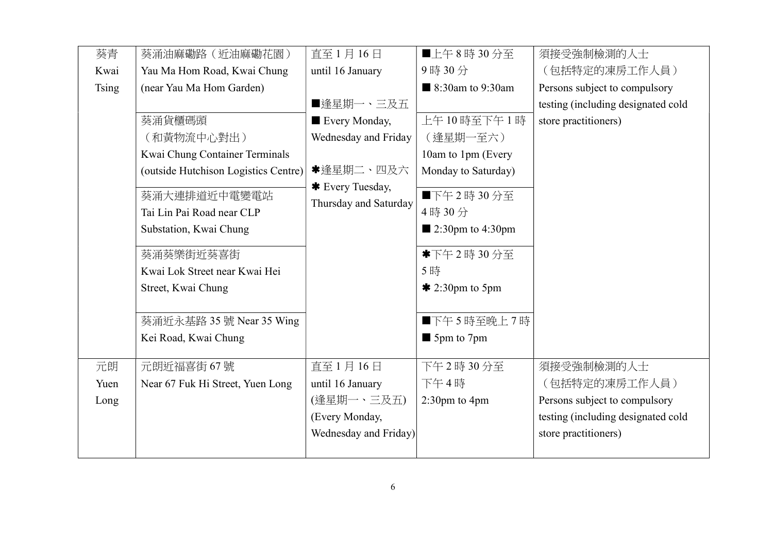| 葵青           | 葵涌油麻磡路 (近油麻磡花園)                      | 直至1月16日               | ■上午8時30分至                       | 須接受強制檢測的人士                         |
|--------------|--------------------------------------|-----------------------|---------------------------------|------------------------------------|
| Kwai         | Yau Ma Hom Road, Kwai Chung          | until 16 January      | 9時30分                           | (包括特定的凍房工作人員)                      |
| <b>Tsing</b> | (near Yau Ma Hom Garden)             |                       | 8:30am to 9:30am                | Persons subject to compulsory      |
|              |                                      | ■逢星期一、三及五             |                                 | testing (including designated cold |
|              | 葵涌貨櫃碼頭                               | Every Monday,         | 上午10時至下午1時                      | store practitioners)               |
|              | (和黃物流中心對出)                           | Wednesday and Friday  | (逢星期一至六)                        |                                    |
|              | Kwai Chung Container Terminals       |                       | 10am to 1pm (Every              |                                    |
|              | (outside Hutchison Logistics Centre) | *逢星期二、四及六             | Monday to Saturday)             |                                    |
|              |                                      | * Every Tuesday,      |                                 |                                    |
|              | 葵涌大連排道近中電變電站                         | Thursday and Saturday | ■下午2時30分至                       |                                    |
|              | Tai Lin Pai Road near CLP            |                       | 4時30分                           |                                    |
|              | Substation, Kwai Chung               |                       | $\blacksquare$ 2:30pm to 4:30pm |                                    |
|              | 葵涌葵樂街近葵喜街                            |                       | *下午2時30分至                       |                                    |
|              | Kwai Lok Street near Kwai Hei        |                       | 5時                              |                                    |
|              | Street, Kwai Chung                   |                       | $*$ 2:30pm to 5pm               |                                    |
|              |                                      |                       |                                 |                                    |
|              | 葵涌近永基路 35 號 Near 35 Wing             |                       | ■下午5時至晩上7時                      |                                    |
|              | Kei Road, Kwai Chung                 |                       | $\blacksquare$ 5pm to 7pm       |                                    |
|              |                                      |                       |                                 |                                    |
| 元朗           | 元朗近福喜街 67號                           | 直至1月16日               | 下午2時30分至                        | 須接受強制檢測的人士                         |
| Yuen         | Near 67 Fuk Hi Street, Yuen Long     | until 16 January      | 下午4時                            | (包括特定的凍房工作人員)                      |
| Long         |                                      | (逢星期一、三及五)            | $2:30$ pm to $4$ pm             | Persons subject to compulsory      |
|              |                                      | (Every Monday,        |                                 | testing (including designated cold |
|              |                                      | Wednesday and Friday) |                                 | store practitioners)               |
|              |                                      |                       |                                 |                                    |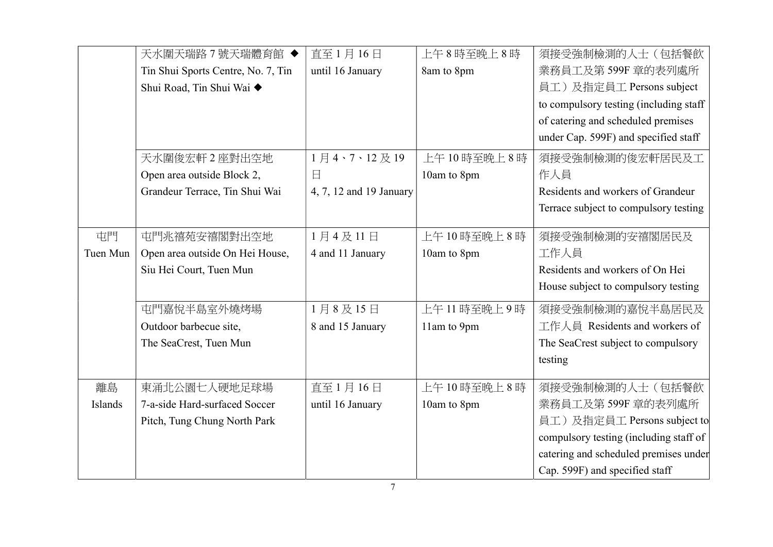|          | 天水圍天瑞路7號天瑞體育館◆                     | 直至1月16日                 | 上午8時至晚上8時   | 須接受強制檢測的人士(包括餐飲                        |
|----------|------------------------------------|-------------------------|-------------|----------------------------------------|
|          | Tin Shui Sports Centre, No. 7, Tin | until 16 January        | 8am to 8pm  | 業務員工及第599F 章的表列處所                      |
|          | Shui Road, Tin Shui Wai ◆          |                         |             | 員工)及指定員工 Persons subject               |
|          |                                    |                         |             | to compulsory testing (including staff |
|          |                                    |                         |             | of catering and scheduled premises     |
|          |                                    |                         |             | under Cap. 599F) and specified staff   |
|          | 天水圍俊宏軒 2 座對出空地                     | 1月4、7、12及19             | 上午10時至晚上8時  | 須接受強制檢測的俊宏軒居民及工                        |
|          | Open area outside Block 2,         | 日                       | 10am to 8pm | 作人員                                    |
|          | Grandeur Terrace, Tin Shui Wai     | 4, 7, 12 and 19 January |             | Residents and workers of Grandeur      |
|          |                                    |                         |             | Terrace subject to compulsory testing  |
|          |                                    |                         |             |                                        |
| 屯門       | 屯門兆禧苑安禧閣對出空地                       | 1月4及11日                 | 上午10時至晚上8時  | 須接受強制檢測的安禧閣居民及                         |
| Tuen Mun | Open area outside On Hei House,    | 4 and 11 January        | 10am to 8pm | 工作人員                                   |
|          | Siu Hei Court, Tuen Mun            |                         |             | Residents and workers of On Hei        |
|          |                                    |                         |             | House subject to compulsory testing    |
|          | 屯門嘉悅半島室外燒烤場                        | 1月8及15日                 | 上午11時至晚上9時  | 須接受強制檢測的嘉悅半島居民及                        |
|          | Outdoor barbecue site,             | 8 and 15 January        | 11am to 9pm | 工作人員 Residents and workers of          |
|          | The SeaCrest, Tuen Mun             |                         |             | The SeaCrest subject to compulsory     |
|          |                                    |                         |             | testing                                |
| 離島       | 東涌北公園七人硬地足球場                       | 直至1月16日                 | 上午10時至晚上8時  | 須接受強制檢測的人士(包括餐飲                        |
| Islands  | 7-a-side Hard-surfaced Soccer      | until 16 January        | 10am to 8pm | 業務員工及第599F 章的表列處所                      |
|          | Pitch, Tung Chung North Park       |                         |             | 員工)及指定員工 Persons subject to            |
|          |                                    |                         |             | compulsory testing (including staff of |
|          |                                    |                         |             | catering and scheduled premises under  |
|          |                                    |                         |             | Cap. 599F) and specified staff         |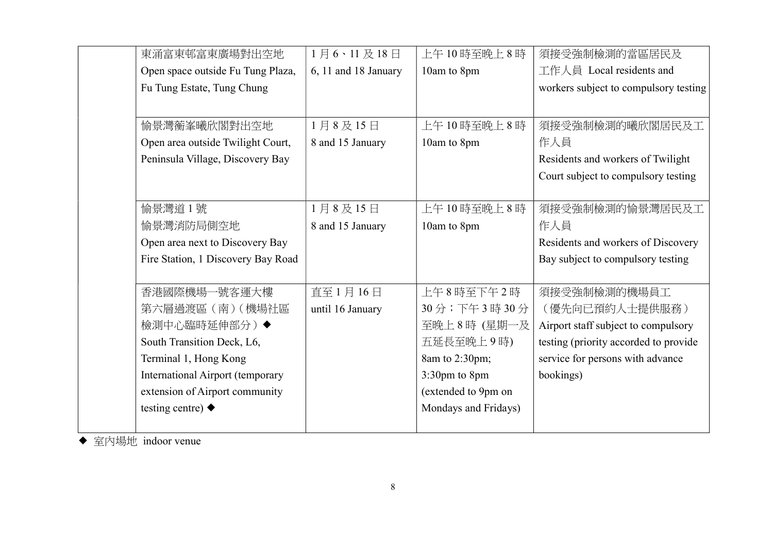|  | 東涌富東邨富東廣場對出空地                      | 1月6、11及18日           | 上午10時至晚上8時           | 須接受強制檢測的當區居民及                         |
|--|------------------------------------|----------------------|----------------------|---------------------------------------|
|  | Open space outside Fu Tung Plaza,  | 6, 11 and 18 January | 10am to 8pm          | 工作人員 Local residents and              |
|  | Fu Tung Estate, Tung Chung         |                      |                      | workers subject to compulsory testing |
|  |                                    |                      |                      |                                       |
|  | 愉景灣蘅峯曦欣閣對出空地                       | 1月8及15日              | 上午10時至晚上8時           | 須接受強制檢測的曦欣閣居民及工                       |
|  | Open area outside Twilight Court,  | 8 and 15 January     | 10am to 8pm          | 作人員                                   |
|  | Peninsula Village, Discovery Bay   |                      |                      | Residents and workers of Twilight     |
|  |                                    |                      |                      | Court subject to compulsory testing   |
|  |                                    |                      |                      |                                       |
|  | 偷景灣道1號                             | 1月8及15日              | 上午10時至晚上8時           | 須接受強制檢測的愉景灣居民及工                       |
|  | 愉景灣消防局側空地                          | 8 and 15 January     | 10am to 8pm          | 作人員                                   |
|  | Open area next to Discovery Bay    |                      |                      | Residents and workers of Discovery    |
|  | Fire Station, 1 Discovery Bay Road |                      |                      | Bay subject to compulsory testing     |
|  |                                    |                      |                      |                                       |
|  | 香港國際機場一號客運大樓                       | 直至1月16日              | 上午8時至下午2時            | 須接受強制檢測的機場員工                          |
|  | 第六層過渡區 (南) (機場社區                   | until 16 January     | 30分;下午3時30分          | (優先向已預約人士提供服務)                        |
|  | 檢測中心臨時延伸部分)◆                       |                      | 至晚上8時 (星期一及          | Airport staff subject to compulsory   |
|  | South Transition Deck, L6,         |                      | 五延長至晚上9時)            | testing (priority accorded to provide |
|  | Terminal 1, Hong Kong              |                      | 8am to 2:30pm;       | service for persons with advance      |
|  | International Airport (temporary   |                      | 3:30pm to 8pm        | bookings)                             |
|  | extension of Airport community     |                      | (extended to 9pm on  |                                       |
|  | testing centre) $\blacklozenge$    |                      | Mondays and Fridays) |                                       |
|  |                                    |                      |                      |                                       |

◆ 室内場地 indoor venue